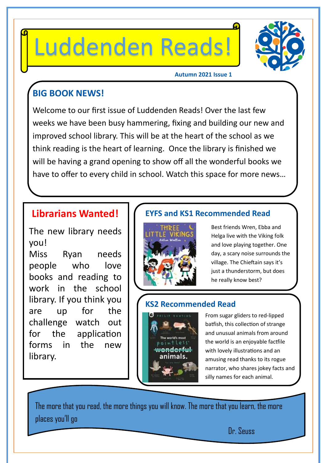# Luddenden Reads!



#### **Autumn 2021 Issue 1**

#### **BIG BOOK NEWS!**

Welcome to our first issue of Luddenden Reads! Over the last few weeks we have been busy hammering, fixing and building our new and improved school library. This will be at the heart of the school as we think reading is the heart of learning. Once the library is finished we will be having a grand opening to show off all the wonderful books we have to offer to every child in school. Watch this space for more news…

#### **Librarians Wanted!**

The new library needs you! Miss Ryan needs people who love books and reading to

work in the school library. If you think you are up for the challenge watch out for the application forms in the new library.

#### **EYFS and KS1 Recommended Read**



Best friends Wren, Ebba and Helga live with the Viking folk and love playing together. One day, a scary noise surrounds the village. The Chieftain says it's just a thunderstorm, but does he really know best?

#### **KS2 Recommended Read**



From sugar gliders to red-lipped batfish, this collection of strange and unusual animals from around the world is an enjoyable factfile with lovely illustrations and an amusing read thanks to its rogue narrator, who shares jokey facts and silly names for each animal.

The more that you read, the more things you will know. The more that you learn, the more places you'll go